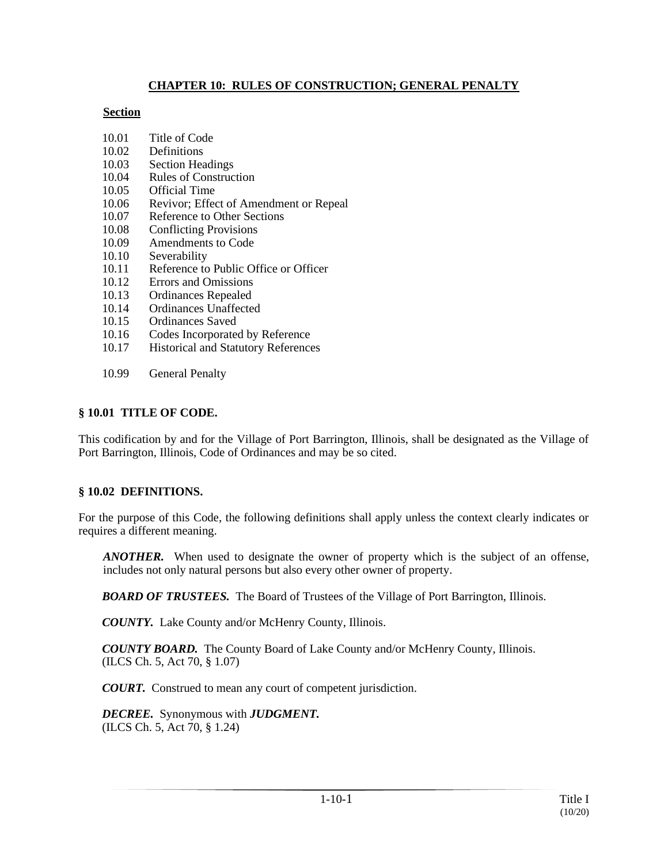## **CHAPTER 10: RULES OF CONSTRUCTION; GENERAL PENALTY**

#### **Section**

- 10.01 Title of Code
- 10.02 Definitions
- 10.03 Section Headings
- 10.04 Rules of Construction
- 10.05 Official Time
- 10.06 Revivor; Effect of Amendment or Repeal
- 10.07 Reference to Other Sections
- 10.08 Conflicting Provisions
- 10.09 Amendments to Code
- 10.10 Severability
- 10.11 Reference to Public Office or Officer
- 10.12 Errors and Omissions
- 10.13 Ordinances Repealed
- 10.14 Ordinances Unaffected
- 10.15 Ordinances Saved
- 10.16 Codes Incorporated by Reference
- 10.17 Historical and Statutory References
- 10.99 General Penalty

## **§ 10.01 TITLE OF CODE.**

This codification by and for the Village of Port Barrington, Illinois, shall be designated as the Village of Port Barrington, Illinois, Code of Ordinances and may be so cited.

# **§ 10.02 DEFINITIONS.**

For the purpose of this Code, the following definitions shall apply unless the context clearly indicates or requires a different meaning.

*ANOTHER.* When used to designate the owner of property which is the subject of an offense, includes not only natural persons but also every other owner of property.

**BOARD OF TRUSTEES.** The Board of Trustees of the Village of Port Barrington, Illinois.

*COUNTY.* Lake County and/or McHenry County, Illinois.

*COUNTY BOARD.* The County Board of Lake County and/or McHenry County, Illinois. (ILCS Ch. 5, Act 70, § 1.07)

*COURT.* Construed to mean any court of competent jurisdiction.

*DECREE.* Synonymous with *JUDGMENT.* (ILCS Ch. 5, Act 70, § 1.24)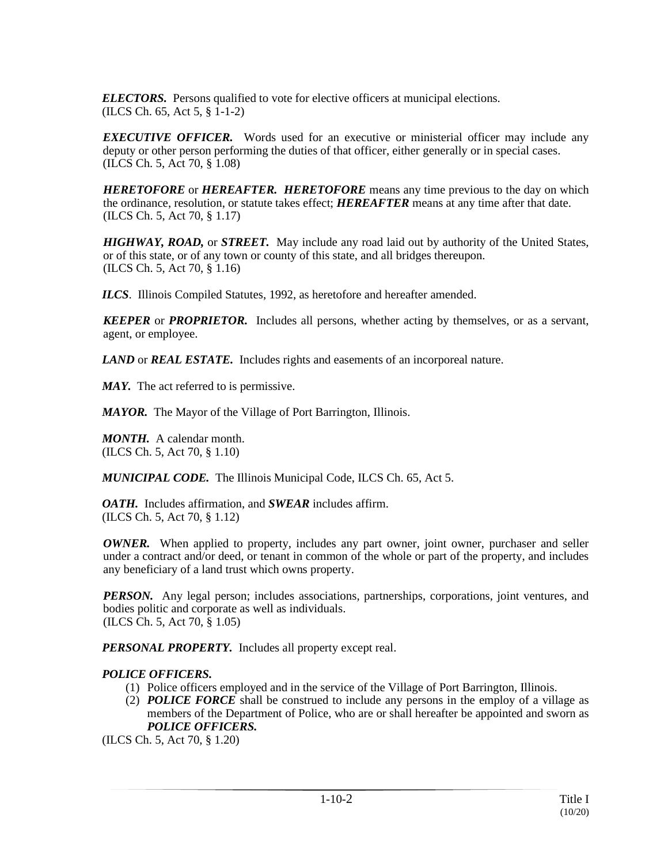*ELECTORS.* Persons qualified to vote for elective officers at municipal elections. (ILCS Ch. 65, Act 5, § 1-1-2)

*EXECUTIVE OFFICER.* Words used for an executive or ministerial officer may include any deputy or other person performing the duties of that officer, either generally or in special cases. (ILCS Ch. 5, Act 70, § 1.08)

*HERETOFORE* or *HEREAFTER. HERETOFORE* means any time previous to the day on which the ordinance, resolution, or statute takes effect; *HEREAFTER* means at any time after that date. (ILCS Ch. 5, Act 70, § 1.17)

*HIGHWAY, ROAD,* or *STREET.* May include any road laid out by authority of the United States, or of this state, or of any town or county of this state, and all bridges thereupon. (ILCS Ch. 5, Act 70, § 1.16)

*ILCS*. Illinois Compiled Statutes, 1992, as heretofore and hereafter amended.

*KEEPER* or *PROPRIETOR.* Includes all persons, whether acting by themselves, or as a servant, agent, or employee.

*LAND* or *REAL ESTATE.* Includes rights and easements of an incorporeal nature.

*MAY.* The act referred to is permissive.

*MAYOR.* The Mayor of the Village of Port Barrington, Illinois.

*MONTH.* A calendar month. (ILCS Ch. 5, Act 70, § 1.10)

*MUNICIPAL CODE.* The Illinois Municipal Code, ILCS Ch. 65, Act 5.

*OATH.* Includes affirmation, and *SWEAR* includes affirm. (ILCS Ch. 5, Act 70, § 1.12)

*OWNER.* When applied to property, includes any part owner, joint owner, purchaser and seller under a contract and/or deed, or tenant in common of the whole or part of the property, and includes any beneficiary of a land trust which owns property.

*PERSON.* Any legal person; includes associations, partnerships, corporations, joint ventures, and bodies politic and corporate as well as individuals. (ILCS Ch. 5, Act 70, § 1.05)

*PERSONAL PROPERTY.* Includes all property except real.

#### *POLICE OFFICERS.*

- (1) Police officers employed and in the service of the Village of Port Barrington, Illinois.
- (2) *POLICE FORCE* shall be construed to include any persons in the employ of a village as members of the Department of Police, who are or shall hereafter be appointed and sworn as *POLICE OFFICERS.*

(ILCS Ch. 5, Act 70, § 1.20)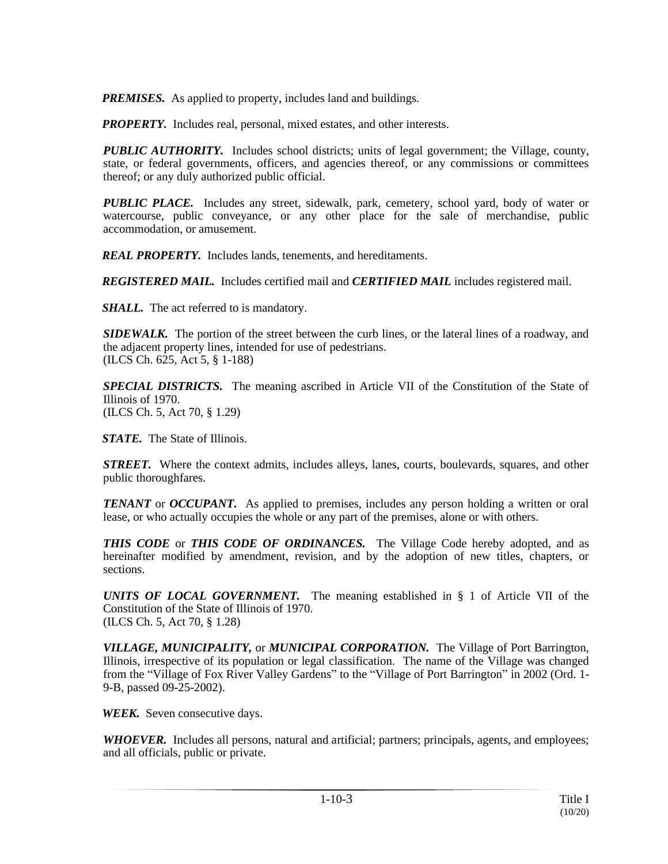*PREMISES.* As applied to property, includes land and buildings.

**PROPERTY.** Includes real, personal, mixed estates, and other interests.

*PUBLIC AUTHORITY.* Includes school districts; units of legal government; the Village, county, state, or federal governments, officers, and agencies thereof, or any commissions or committees thereof; or any duly authorized public official.

*PUBLIC PLACE.* Includes any street, sidewalk, park, cemetery, school yard, body of water or watercourse, public conveyance, or any other place for the sale of merchandise, public accommodation, or amusement.

*REAL PROPERTY.* Includes lands, tenements, and hereditaments.

*REGISTERED MAIL.* Includes certified mail and *CERTIFIED MAIL* includes registered mail.

*SHALL.* The act referred to is mandatory.

*SIDEWALK.* The portion of the street between the curb lines, or the lateral lines of a roadway, and the adjacent property lines, intended for use of pedestrians. (ILCS Ch. 625, Act 5, § 1-188)

*SPECIAL DISTRICTS.* The meaning ascribed in Article VII of the Constitution of the State of Illinois of 1970. (ILCS Ch. 5, Act 70, § 1.29)

*STATE.* The State of Illinois.

*STREET.* Where the context admits, includes alleys, lanes, courts, boulevards, squares, and other public thoroughfares.

*TENANT* or *OCCUPANT*. As applied to premises, includes any person holding a written or oral lease, or who actually occupies the whole or any part of the premises, alone or with others.

*THIS CODE* or *THIS CODE OF ORDINANCES.* The Village Code hereby adopted, and as hereinafter modified by amendment, revision, and by the adoption of new titles, chapters, or sections.

*UNITS OF LOCAL GOVERNMENT.* The meaning established in § 1 of Article VII of the Constitution of the State of Illinois of 1970. (ILCS Ch. 5, Act 70, § 1.28)

*VILLAGE, MUNICIPALITY,* or *MUNICIPAL CORPORATION.* The Village of Port Barrington, Illinois, irrespective of its population or legal classification. The name of the Village was changed from the "Village of Fox River Valley Gardens" to the "Village of Port Barrington" in 2002 (Ord. 1- 9-B, passed 09-25-2002).

*WEEK.* Seven consecutive days.

*WHOEVER.* Includes all persons, natural and artificial; partners; principals, agents, and employees; and all officials, public or private.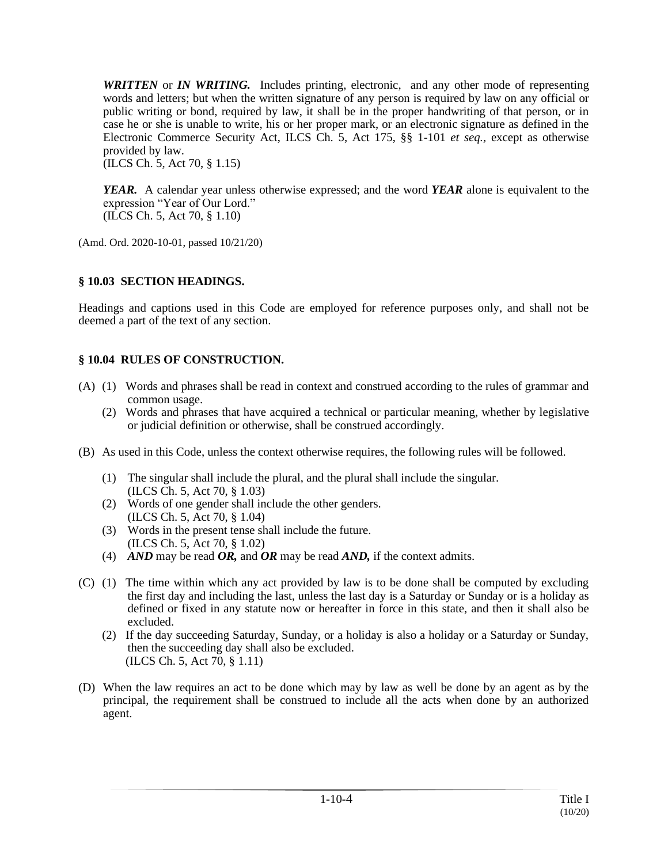*WRITTEN* or *IN WRITING.* Includes printing, electronic, and any other mode of representing words and letters; but when the written signature of any person is required by law on any official or public writing or bond, required by law, it shall be in the proper handwriting of that person, or in case he or she is unable to write, his or her proper mark, or an electronic signature as defined in the Electronic Commerce Security Act, ILCS Ch. 5, Act 175, §§ 1-101 *et seq.,* except as otherwise provided by law.

(ILCS Ch. 5, Act 70, § 1.15)

*YEAR.* A calendar year unless otherwise expressed; and the word *YEAR* alone is equivalent to the expression "Year of Our Lord." (ILCS Ch. 5, Act 70, § 1.10)

(Amd. Ord. 2020-10-01, passed 10/21/20)

## **§ 10.03 SECTION HEADINGS.**

Headings and captions used in this Code are employed for reference purposes only, and shall not be deemed a part of the text of any section.

## **§ 10.04 RULES OF CONSTRUCTION.**

- (A) (1) Words and phrases shall be read in context and construed according to the rules of grammar and common usage.
	- (2) Words and phrases that have acquired a technical or particular meaning, whether by legislative or judicial definition or otherwise, shall be construed accordingly.
- (B) As used in this Code, unless the context otherwise requires, the following rules will be followed.
	- (1) The singular shall include the plural, and the plural shall include the singular. (ILCS Ch. 5, Act 70, § 1.03)
	- (2) Words of one gender shall include the other genders. (ILCS Ch. 5, Act 70, § 1.04)
	- (3) Words in the present tense shall include the future. (ILCS Ch. 5, Act 70, § 1.02)
	- (4) *AND* may be read *OR,* and *OR* may be read *AND,* if the context admits.
- (C) (1) The time within which any act provided by law is to be done shall be computed by excluding the first day and including the last, unless the last day is a Saturday or Sunday or is a holiday as defined or fixed in any statute now or hereafter in force in this state, and then it shall also be excluded.
	- (2) If the day succeeding Saturday, Sunday, or a holiday is also a holiday or a Saturday or Sunday, then the succeeding day shall also be excluded. (ILCS Ch. 5, Act 70, § 1.11)
- (D) When the law requires an act to be done which may by law as well be done by an agent as by the principal, the requirement shall be construed to include all the acts when done by an authorized agent.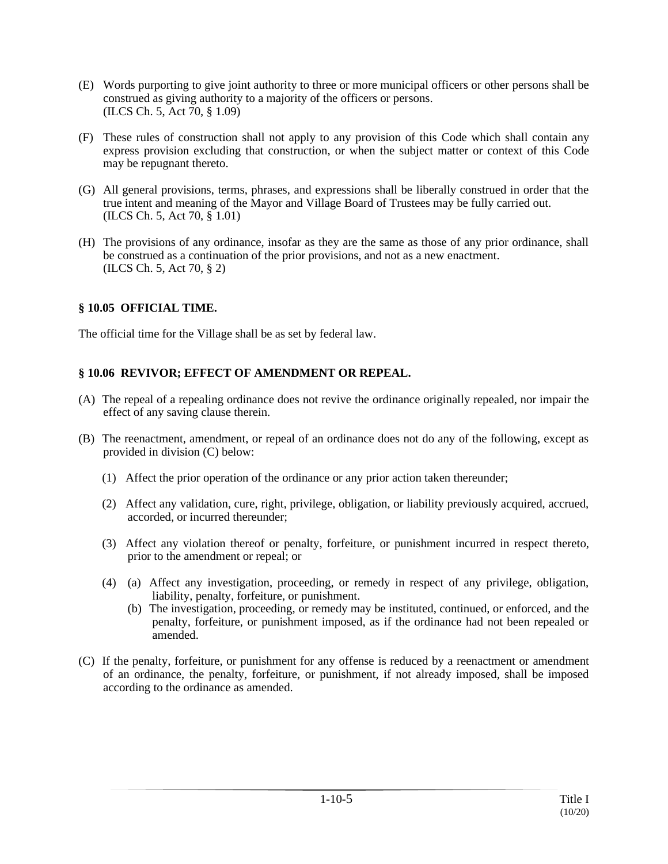- (E) Words purporting to give joint authority to three or more municipal officers or other persons shall be construed as giving authority to a majority of the officers or persons. (ILCS Ch. 5, Act 70, § 1.09)
- (F) These rules of construction shall not apply to any provision of this Code which shall contain any express provision excluding that construction, or when the subject matter or context of this Code may be repugnant thereto.
- (G) All general provisions, terms, phrases, and expressions shall be liberally construed in order that the true intent and meaning of the Mayor and Village Board of Trustees may be fully carried out. (ILCS Ch. 5, Act 70, § 1.01)
- (H) The provisions of any ordinance, insofar as they are the same as those of any prior ordinance, shall be construed as a continuation of the prior provisions, and not as a new enactment. (ILCS Ch. 5, Act 70, § 2)

## **§ 10.05 OFFICIAL TIME.**

The official time for the Village shall be as set by federal law.

#### **§ 10.06 REVIVOR; EFFECT OF AMENDMENT OR REPEAL.**

- (A) The repeal of a repealing ordinance does not revive the ordinance originally repealed, nor impair the effect of any saving clause therein.
- (B) The reenactment, amendment, or repeal of an ordinance does not do any of the following, except as provided in division (C) below:
	- (1) Affect the prior operation of the ordinance or any prior action taken thereunder;
	- (2) Affect any validation, cure, right, privilege, obligation, or liability previously acquired, accrued, accorded, or incurred thereunder;
	- (3) Affect any violation thereof or penalty, forfeiture, or punishment incurred in respect thereto, prior to the amendment or repeal; or
	- (4) (a) Affect any investigation, proceeding, or remedy in respect of any privilege, obligation, liability, penalty, forfeiture, or punishment.
		- (b) The investigation, proceeding, or remedy may be instituted, continued, or enforced, and the penalty, forfeiture, or punishment imposed, as if the ordinance had not been repealed or amended.
- (C) If the penalty, forfeiture, or punishment for any offense is reduced by a reenactment or amendment of an ordinance, the penalty, forfeiture, or punishment, if not already imposed, shall be imposed according to the ordinance as amended.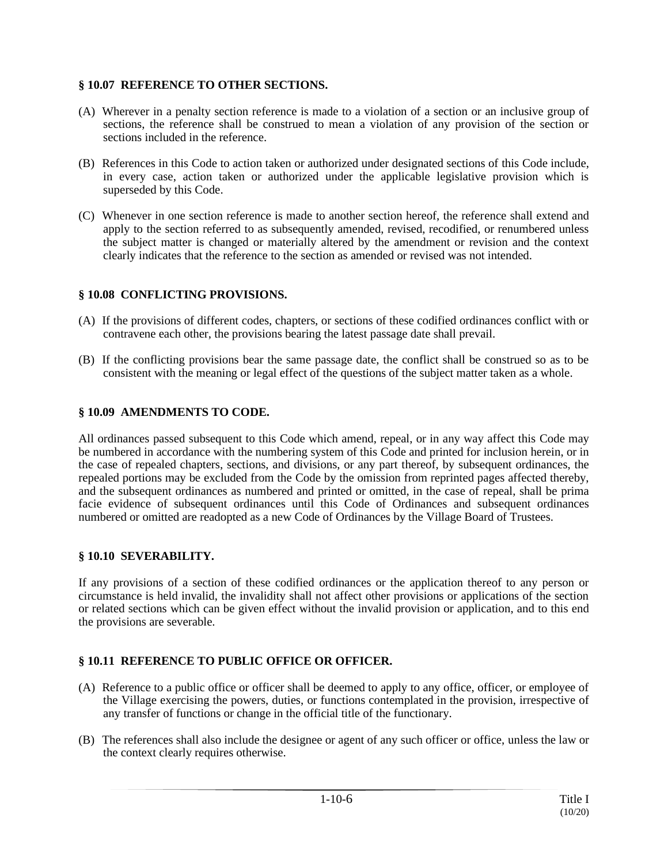## **§ 10.07 REFERENCE TO OTHER SECTIONS.**

- (A) Wherever in a penalty section reference is made to a violation of a section or an inclusive group of sections, the reference shall be construed to mean a violation of any provision of the section or sections included in the reference.
- (B) References in this Code to action taken or authorized under designated sections of this Code include, in every case, action taken or authorized under the applicable legislative provision which is superseded by this Code.
- (C) Whenever in one section reference is made to another section hereof, the reference shall extend and apply to the section referred to as subsequently amended, revised, recodified, or renumbered unless the subject matter is changed or materially altered by the amendment or revision and the context clearly indicates that the reference to the section as amended or revised was not intended.

# **§ 10.08 CONFLICTING PROVISIONS.**

- (A) If the provisions of different codes, chapters, or sections of these codified ordinances conflict with or contravene each other, the provisions bearing the latest passage date shall prevail.
- (B) If the conflicting provisions bear the same passage date, the conflict shall be construed so as to be consistent with the meaning or legal effect of the questions of the subject matter taken as a whole.

## **§ 10.09 AMENDMENTS TO CODE.**

All ordinances passed subsequent to this Code which amend, repeal, or in any way affect this Code may be numbered in accordance with the numbering system of this Code and printed for inclusion herein, or in the case of repealed chapters, sections, and divisions, or any part thereof, by subsequent ordinances, the repealed portions may be excluded from the Code by the omission from reprinted pages affected thereby, and the subsequent ordinances as numbered and printed or omitted, in the case of repeal, shall be prima facie evidence of subsequent ordinances until this Code of Ordinances and subsequent ordinances numbered or omitted are readopted as a new Code of Ordinances by the Village Board of Trustees.

#### **§ 10.10 SEVERABILITY.**

If any provisions of a section of these codified ordinances or the application thereof to any person or circumstance is held invalid, the invalidity shall not affect other provisions or applications of the section or related sections which can be given effect without the invalid provision or application, and to this end the provisions are severable.

# **§ 10.11 REFERENCE TO PUBLIC OFFICE OR OFFICER.**

- (A) Reference to a public office or officer shall be deemed to apply to any office, officer, or employee of the Village exercising the powers, duties, or functions contemplated in the provision, irrespective of any transfer of functions or change in the official title of the functionary.
- (B) The references shall also include the designee or agent of any such officer or office, unless the law or the context clearly requires otherwise.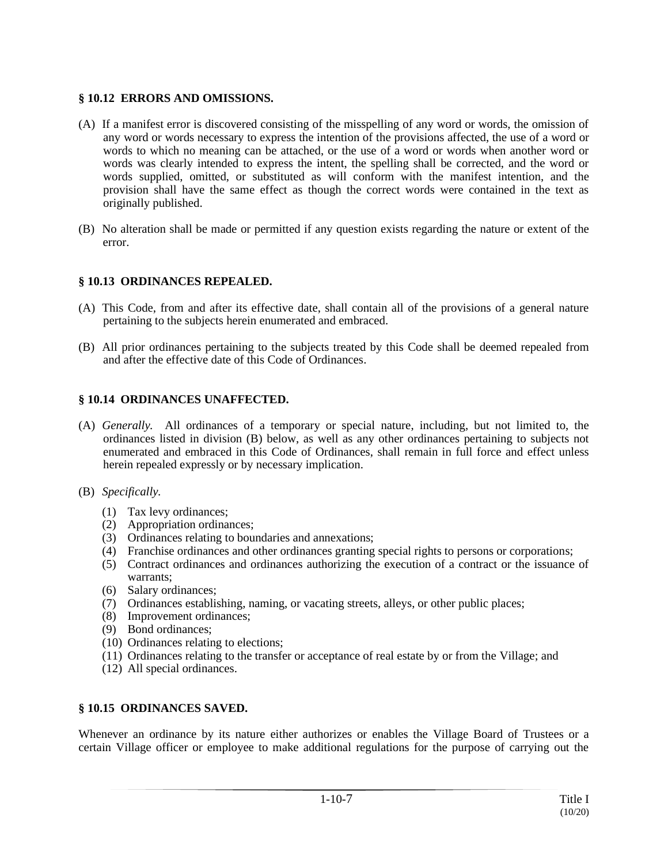#### **§ 10.12 ERRORS AND OMISSIONS.**

- (A) If a manifest error is discovered consisting of the misspelling of any word or words, the omission of any word or words necessary to express the intention of the provisions affected, the use of a word or words to which no meaning can be attached, or the use of a word or words when another word or words was clearly intended to express the intent, the spelling shall be corrected, and the word or words supplied, omitted, or substituted as will conform with the manifest intention, and the provision shall have the same effect as though the correct words were contained in the text as originally published.
- (B) No alteration shall be made or permitted if any question exists regarding the nature or extent of the error.

## **§ 10.13 ORDINANCES REPEALED.**

- (A) This Code, from and after its effective date, shall contain all of the provisions of a general nature pertaining to the subjects herein enumerated and embraced.
- (B) All prior ordinances pertaining to the subjects treated by this Code shall be deemed repealed from and after the effective date of this Code of Ordinances.

#### **§ 10.14 ORDINANCES UNAFFECTED.**

- (A) *Generally.* All ordinances of a temporary or special nature, including, but not limited to, the ordinances listed in division (B) below, as well as any other ordinances pertaining to subjects not enumerated and embraced in this Code of Ordinances, shall remain in full force and effect unless herein repealed expressly or by necessary implication.
- (B) *Specifically.*
	- (1) Tax levy ordinances;
	- (2) Appropriation ordinances;
	- (3) Ordinances relating to boundaries and annexations;
	- (4) Franchise ordinances and other ordinances granting special rights to persons or corporations;
	- (5) Contract ordinances and ordinances authorizing the execution of a contract or the issuance of warrants;
	- (6) Salary ordinances;
	- (7) Ordinances establishing, naming, or vacating streets, alleys, or other public places;
	- (8) Improvement ordinances;
	- (9) Bond ordinances;
	- (10) Ordinances relating to elections;
	- (11) Ordinances relating to the transfer or acceptance of real estate by or from the Village; and
	- (12) All special ordinances.

#### **§ 10.15 ORDINANCES SAVED.**

Whenever an ordinance by its nature either authorizes or enables the Village Board of Trustees or a certain Village officer or employee to make additional regulations for the purpose of carrying out the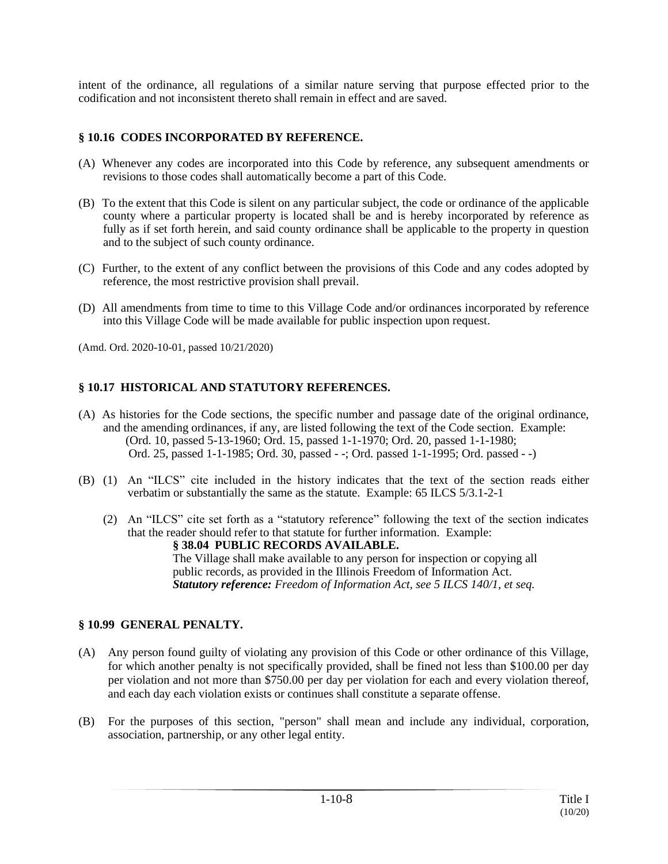intent of the ordinance, all regulations of a similar nature serving that purpose effected prior to the codification and not inconsistent thereto shall remain in effect and are saved.

## **§ 10.16 CODES INCORPORATED BY REFERENCE.**

- (A) Whenever any codes are incorporated into this Code by reference, any subsequent amendments or revisions to those codes shall automatically become a part of this Code.
- (B) To the extent that this Code is silent on any particular subject, the code or ordinance of the applicable county where a particular property is located shall be and is hereby incorporated by reference as fully as if set forth herein, and said county ordinance shall be applicable to the property in question and to the subject of such county ordinance.
- (C) Further, to the extent of any conflict between the provisions of this Code and any codes adopted by reference, the most restrictive provision shall prevail.
- (D) All amendments from time to time to this Village Code and/or ordinances incorporated by reference into this Village Code will be made available for public inspection upon request.

(Amd. Ord. 2020-10-01, passed 10/21/2020)

## **§ 10.17 HISTORICAL AND STATUTORY REFERENCES.**

- (A) As histories for the Code sections, the specific number and passage date of the original ordinance, and the amending ordinances, if any, are listed following the text of the Code section. Example: (Ord. 10, passed 5-13-1960; Ord. 15, passed 1-1-1970; Ord. 20, passed 1-1-1980; Ord. 25, passed 1-1-1985; Ord. 30, passed - -; Ord. passed 1-1-1995; Ord. passed - -)
- (B) (1) An "ILCS" cite included in the history indicates that the text of the section reads either verbatim or substantially the same as the statute. Example: 65 ILCS 5/3.1-2-1
	- (2) An "ILCS" cite set forth as a "statutory reference" following the text of the section indicates that the reader should refer to that statute for further information. Example: **§ 38.04 PUBLIC RECORDS AVAILABLE.** The Village shall make available to any person for inspection or copying all public records, as provided in the Illinois Freedom of Information Act. *Statutory reference: Freedom of Information Act, see 5 ILCS 140/1, et seq.*

# **§ 10.99 GENERAL PENALTY.**

- (A) Any person found guilty of violating any provision of this Code or other ordinance of this Village, for which another penalty is not specifically provided, shall be fined not less than \$100.00 per day per violation and not more than \$750.00 per day per violation for each and every violation thereof, and each day each violation exists or continues shall constitute a separate offense.
- (B) For the purposes of this section, "person" shall mean and include any individual, corporation, association, partnership, or any other legal entity.